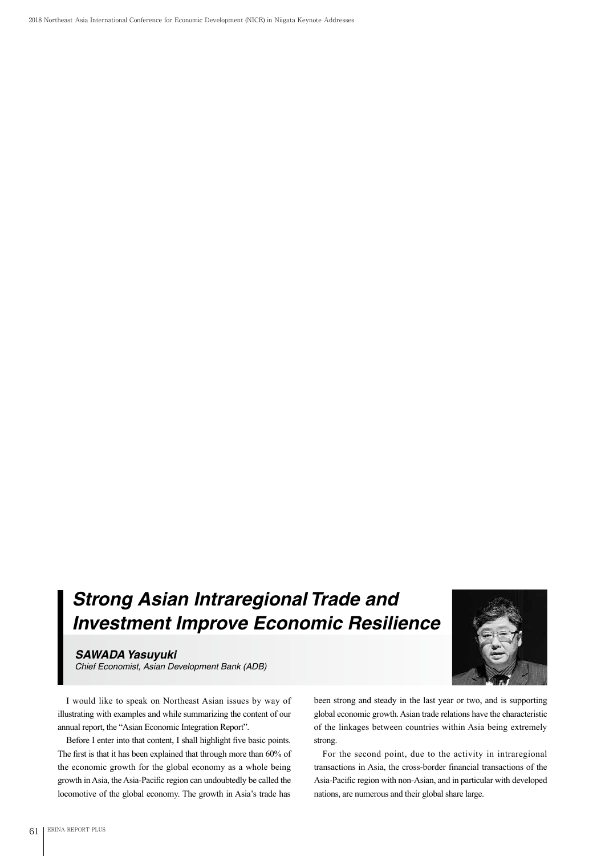2018 Northeast Asia International Conference for Economic Development (NICE) in Niigata Keynote Addresses

## *Strong Asian Intraregional Trade and Investment Improve Economic Resilience*

*SAWADA Yasuyuki*

*Chief Economist, Asian Development Bank (ADB)*

I would like to speak on Northeast Asian issues by way of illustrating with examples and while summarizing the content of our annual report, the "Asian Economic Integration Report".

Before I enter into that content, I shall highlight five basic points. The first is that it has been explained that through more than 60% of the economic growth for the global economy as a whole being growth in Asia, the Asia-Pacific region can undoubtedly be called the locomotive of the global economy. The growth in Asia's trade has



been strong and steady in the last year or two, and is supporting global economic growth. Asian trade relations have the characteristic of the linkages between countries within Asia being extremely strong.

For the second point, due to the activity in intraregional transactions in Asia, the cross-border financial transactions of the Asia-Pacific region with non-Asian, and in particular with developed nations, are numerous and their global share large.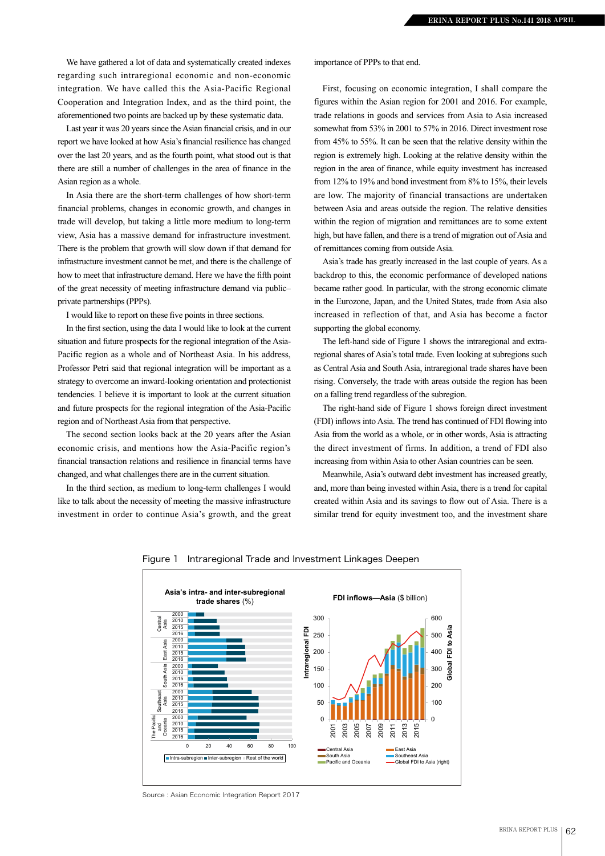We have gathered a lot of data and systematically created indexes regarding such intraregional economic and non-economic integration. We have called this the Asia-Pacific Regional Cooperation and Integration Index, and as the third point, the aforementioned two points are backed up by these systematic data.

Last year it was 20 years since the Asian financial crisis, and in our report we have looked at how Asia's financial resilience has changed over the last 20 years, and as the fourth point, what stood out is that there are still a number of challenges in the area of finance in the Asian region as a whole.

In Asia there are the short-term challenges of how short-term financial problems, changes in economic growth, and changes in trade will develop, but taking a little more medium to long-term view, Asia has a massive demand for infrastructure investment. There is the problem that growth will slow down if that demand for infrastructure investment cannot be met, and there is the challenge of how to meet that infrastructure demand. Here we have the fifth point of the great necessity of meeting infrastructure demand via public– private partnerships (PPPs).

I would like to report on these five points in three sections.

In the first section, using the data I would like to look at the current situation and future prospects for the regional integration of the Asia-Pacific region as a whole and of Northeast Asia. In his address, Professor Petri said that regional integration will be important as a strategy to overcome an inward-looking orientation and protectionist tendencies. I believe it is important to look at the current situation and future prospects for the regional integration of the Asia-Pacific region and of Northeast Asia from that perspective.

The second section looks back at the 20 years after the Asian economic crisis, and mentions how the Asia-Pacific region's financial transaction relations and resilience in financial terms have changed, and what challenges there are in the current situation.

In the third section, as medium to long-term challenges I would like to talk about the necessity of meeting the massive infrastructure investment in order to continue Asia's growth, and the great importance of PPPs to that end.

First, focusing on economic integration, I shall compare the figures within the Asian region for 2001 and 2016. For example, trade relations in goods and services from Asia to Asia increased somewhat from 53% in 2001 to 57% in 2016. Direct investment rose from 45% to 55%. It can be seen that the relative density within the region is extremely high. Looking at the relative density within the region in the area of finance, while equity investment has increased from 12% to 19% and bond investment from 8% to 15%, their levels are low. The majority of financial transactions are undertaken between Asia and areas outside the region. The relative densities within the region of migration and remittances are to some extent high, but have fallen, and there is a trend of migration out of Asia and of remittances coming from outside Asia.

Asia's trade has greatly increased in the last couple of years. As a backdrop to this, the economic performance of developed nations became rather good. In particular, with the strong economic climate in the Eurozone, Japan, and the United States, trade from Asia also increased in reflection of that, and Asia has become a factor supporting the global economy.

The left-hand side of Figure 1 shows the intraregional and extraregional shares of Asia's total trade. Even looking at subregions such as Central Asia and South Asia, intraregional trade shares have been rising. Conversely, the trade with areas outside the region has been on a falling trend regardless of the subregion.

The right-hand side of Figure 1 shows foreign direct investment (FDI) inflows into Asia. The trend has continued of FDI flowing into Asia from the world as a whole, or in other words, Asia is attracting the direct investment of firms. In addition, a trend of FDI also increasing from within Asia to other Asian countries can be seen.

Meanwhile, Asia's outward debt investment has increased greatly, and, more than being invested within Asia, there is a trend for capital created within Asia and its savings to flow out of Asia. There is a similar trend for equity investment too, and the investment share



Figure 1 Intraregional Trade and Investment Linkages Deepen

Source : Asian Economic Integration Report 2017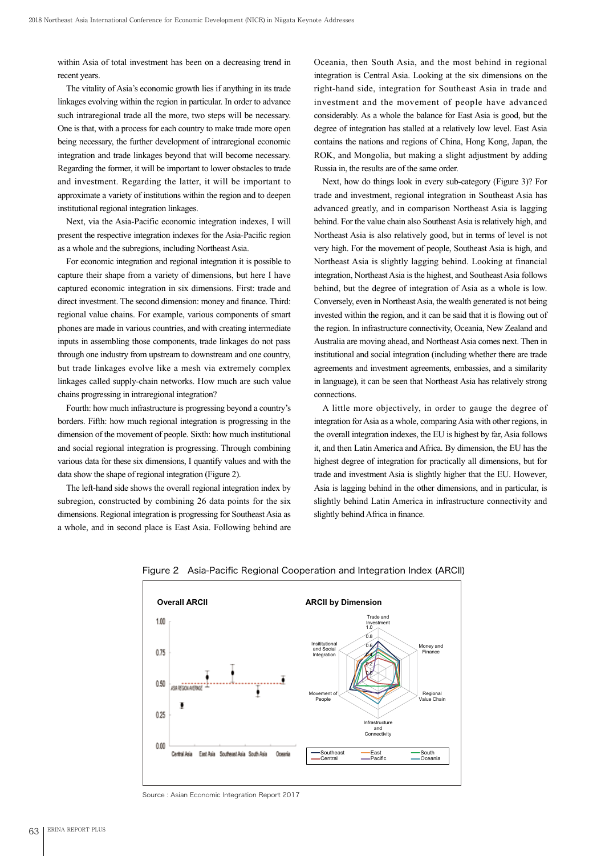within Asia of total investment has been on a decreasing trend in recent years.

The vitality of Asia's economic growth lies if anything in its trade linkages evolving within the region in particular. In order to advance such intraregional trade all the more, two steps will be necessary. One is that, with a process for each country to make trade more open being necessary, the further development of intraregional economic integration and trade linkages beyond that will become necessary. Regarding the former, it will be important to lower obstacles to trade and investment. Regarding the latter, it will be important to approximate a variety of institutions within the region and to deepen institutional regional integration linkages.

Next, via the Asia-Pacific economic integration indexes, I will present the respective integration indexes for the Asia-Pacific region as a whole and the subregions, including Northeast Asia.

For economic integration and regional integration it is possible to capture their shape from a variety of dimensions, but here I have captured economic integration in six dimensions. First: trade and direct investment. The second dimension: money and finance. Third: regional value chains. For example, various components of smart phones are made in various countries, and with creating intermediate inputs in assembling those components, trade linkages do not pass through one industry from upstream to downstream and one country, but trade linkages evolve like a mesh via extremely complex linkages called supply-chain networks. How much are such value chains progressing in intraregional integration?

Fourth: how much infrastructure is progressing beyond a country's borders. Fifth: how much regional integration is progressing in the dimension of the movement of people. Sixth: how much institutional and social regional integration is progressing. Through combining various data for these six dimensions, I quantify values and with the data show the shape of regional integration (Figure 2).

The left-hand side shows the overall regional integration index by subregion, constructed by combining 26 data points for the six dimensions. Regional integration is progressing for Southeast Asia as a whole, and in second place is East Asia. Following behind are Oceania, then South Asia, and the most behind in regional integration is Central Asia. Looking at the six dimensions on the right-hand side, integration for Southeast Asia in trade and investment and the movement of people have advanced considerably. As a whole the balance for East Asia is good, but the degree of integration has stalled at a relatively low level. East Asia contains the nations and regions of China, Hong Kong, Japan, the ROK, and Mongolia, but making a slight adjustment by adding Russia in, the results are of the same order.

Next, how do things look in every sub-category (Figure 3)? For trade and investment, regional integration in Southeast Asia has advanced greatly, and in comparison Northeast Asia is lagging behind. For the value chain also Southeast Asia is relatively high, and Northeast Asia is also relatively good, but in terms of level is not very high. For the movement of people, Southeast Asia is high, and Northeast Asia is slightly lagging behind. Looking at financial integration, Northeast Asia is the highest, and Southeast Asia follows behind, but the degree of integration of Asia as a whole is low. Conversely, even in Northeast Asia, the wealth generated is not being invested within the region, and it can be said that it is flowing out of the region. In infrastructure connectivity, Oceania, New Zealand and Australia are moving ahead, and Northeast Asia comes next. Then in institutional and social integration (including whether there are trade agreements and investment agreements, embassies, and a similarity in language), it can be seen that Northeast Asia has relatively strong connections.

A little more objectively, in order to gauge the degree of integration for Asia as a whole, comparing Asia with other regions, in the overall integration indexes, the EU is highest by far, Asia follows it, and then Latin America and Africa. By dimension, the EU has the highest degree of integration for practically all dimensions, but for trade and investment Asia is slightly higher that the EU. However, Asia is lagging behind in the other dimensions, and in particular, is slightly behind Latin America in infrastructure connectivity and slightly behind Africa in finance.



Figure 2 Asia-Pacific Regional Cooperation and Integration Index (ARCII)

Source : Asian Economic Integration Report 2017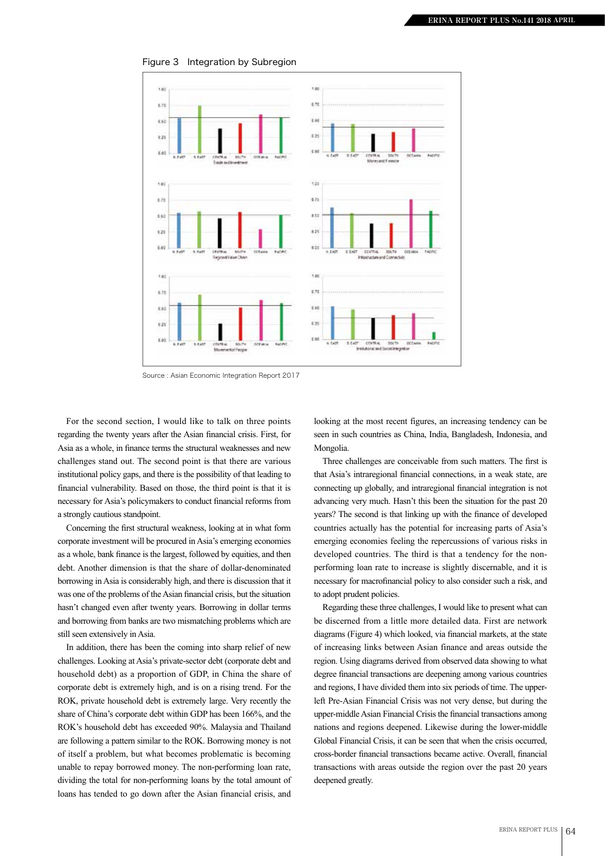

Figure 3 Integration by Subregion

Source : Asian Economic Integration Report 2017

For the second section, I would like to talk on three points regarding the twenty years after the Asian financial crisis. First, for Asia as a whole, in finance terms the structural weaknesses and new challenges stand out. The second point is that there are various institutional policy gaps, and there is the possibility of that leading to financial vulnerability. Based on those, the third point is that it is necessary for Asia's policymakers to conduct financial reforms from a strongly cautious standpoint.

Concerning the first structural weakness, looking at in what form corporate investment will be procured in Asia's emerging economies as a whole, bank finance is the largest, followed by equities, and then debt. Another dimension is that the share of dollar-denominated borrowing in Asia is considerably high, and there is discussion that it was one of the problems of the Asian financial crisis, but the situation hasn't changed even after twenty years. Borrowing in dollar terms and borrowing from banks are two mismatching problems which are still seen extensively in Asia.

In addition, there has been the coming into sharp relief of new challenges. Looking at Asia's private-sector debt (corporate debt and household debt) as a proportion of GDP, in China the share of corporate debt is extremely high, and is on a rising trend. For the ROK, private household debt is extremely large. Very recently the share of China's corporate debt within GDP has been 166%, and the ROK's household debt has exceeded 90%. Malaysia and Thailand are following a pattern similar to the ROK. Borrowing money is not of itself a problem, but what becomes problematic is becoming unable to repay borrowed money. The non-performing loan rate, dividing the total for non-performing loans by the total amount of loans has tended to go down after the Asian financial crisis, and

looking at the most recent figures, an increasing tendency can be seen in such countries as China, India, Bangladesh, Indonesia, and Mongolia.

Three challenges are conceivable from such matters. The first is that Asia's intraregional financial connections, in a weak state, are connecting up globally, and intraregional financial integration is not advancing very much. Hasn't this been the situation for the past 20 years? The second is that linking up with the finance of developed countries actually has the potential for increasing parts of Asia's emerging economies feeling the repercussions of various risks in developed countries. The third is that a tendency for the nonperforming loan rate to increase is slightly discernable, and it is necessary for macrofinancial policy to also consider such a risk, and to adopt prudent policies.

Regarding these three challenges, I would like to present what can be discerned from a little more detailed data. First are network diagrams (Figure 4) which looked, via financial markets, at the state of increasing links between Asian finance and areas outside the region. Using diagrams derived from observed data showing to what degree financial transactions are deepening among various countries and regions, I have divided them into six periods of time. The upperleft Pre-Asian Financial Crisis was not very dense, but during the upper-middle Asian Financial Crisis the financial transactions among nations and regions deepened. Likewise during the lower-middle Global Financial Crisis, it can be seen that when the crisis occurred, cross-border financial transactions became active. Overall, financial transactions with areas outside the region over the past 20 years deepened greatly.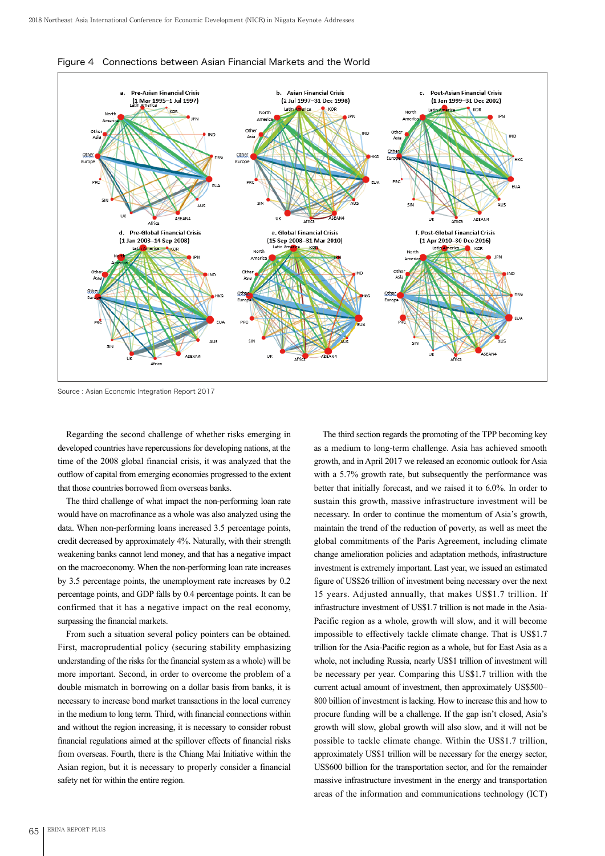

Figure 4 Connections between Asian Financial Markets and the World

Source : Asian Economic Integration Report 2017

Regarding the second challenge of whether risks emerging in developed countries have repercussions for developing nations, at the time of the 2008 global financial crisis, it was analyzed that the outflow of capital from emerging economies progressed to the extent that those countries borrowed from overseas banks.

The third challenge of what impact the non-performing loan rate would have on macrofinance as a whole was also analyzed using the data. When non-performing loans increased 3.5 percentage points, credit decreased by approximately 4%. Naturally, with their strength weakening banks cannot lend money, and that has a negative impact on the macroeconomy. When the non-performing loan rate increases by 3.5 percentage points, the unemployment rate increases by 0.2 percentage points, and GDP falls by 0.4 percentage points. It can be confirmed that it has a negative impact on the real economy, surpassing the financial markets.

From such a situation several policy pointers can be obtained. First, macroprudential policy (securing stability emphasizing understanding of the risks for the financial system as a whole) will be more important. Second, in order to overcome the problem of a double mismatch in borrowing on a dollar basis from banks, it is necessary to increase bond market transactions in the local currency in the medium to long term. Third, with financial connections within and without the region increasing, it is necessary to consider robust financial regulations aimed at the spillover effects of financial risks from overseas. Fourth, there is the Chiang Mai Initiative within the Asian region, but it is necessary to properly consider a financial safety net for within the entire region.

The third section regards the promoting of the TPP becoming key as a medium to long-term challenge. Asia has achieved smooth growth, and in April 2017 we released an economic outlook for Asia with a 5.7% growth rate, but subsequently the performance was better that initially forecast, and we raised it to 6.0%. In order to sustain this growth, massive infrastructure investment will be necessary. In order to continue the momentum of Asia's growth, maintain the trend of the reduction of poverty, as well as meet the global commitments of the Paris Agreement, including climate change amelioration policies and adaptation methods, infrastructure investment is extremely important. Last year, we issued an estimated figure of US\$26 trillion of investment being necessary over the next 15 years. Adjusted annually, that makes US\$1.7 trillion. If infrastructure investment of US\$1.7 trillion is not made in the Asia-Pacific region as a whole, growth will slow, and it will become impossible to effectively tackle climate change. That is US\$1.7 trillion for the Asia-Pacific region as a whole, but for East Asia as a whole, not including Russia, nearly US\$1 trillion of investment will be necessary per year. Comparing this US\$1.7 trillion with the current actual amount of investment, then approximately US\$500– 800 billion of investment is lacking. How to increase this and how to procure funding will be a challenge. If the gap isn't closed, Asia's growth will slow, global growth will also slow, and it will not be possible to tackle climate change. Within the US\$1.7 trillion, approximately US\$1 trillion will be necessary for the energy sector, US\$600 billion for the transportation sector, and for the remainder massive infrastructure investment in the energy and transportation areas of the information and communications technology (ICT)